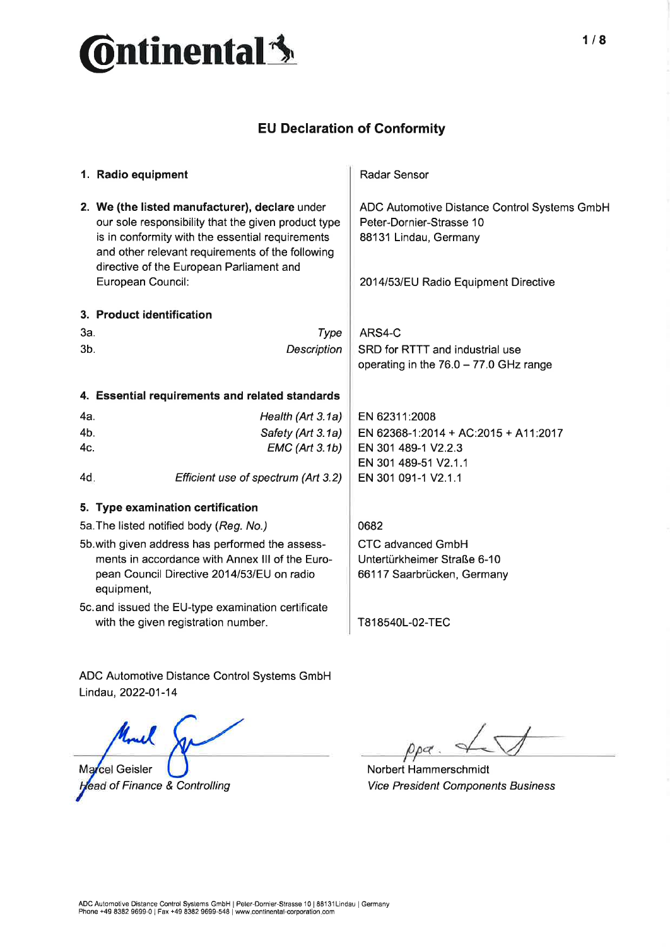

## EU Declaration of Conformity

|                                                    | 1. Radio equipment                                                                                                                                                                                                                                                             | Radar Sensor                                                                                                                              |
|----------------------------------------------------|--------------------------------------------------------------------------------------------------------------------------------------------------------------------------------------------------------------------------------------------------------------------------------|-------------------------------------------------------------------------------------------------------------------------------------------|
|                                                    | 2. We (the listed manufacturer), declare under<br>our sole responsibility that the given product type<br>is in conformity with the essential requirements<br>and other relevant requirements of the following<br>directive of the European Parliament and<br>European Council: | ADC Automotive Distance Control Systems GmbH<br>Peter-Dornier-Strasse 10<br>88131 Lindau, Germany<br>2014/53/EU Radio Equipment Directive |
|                                                    | 3. Product identification                                                                                                                                                                                                                                                      |                                                                                                                                           |
| За.                                                | Type                                                                                                                                                                                                                                                                           | ARS4-C                                                                                                                                    |
| 3 <sub>b</sub>                                     | Description                                                                                                                                                                                                                                                                    | SRD for RTTT and industrial use                                                                                                           |
|                                                    |                                                                                                                                                                                                                                                                                | operating in the $76.0 - 77.0$ GHz range                                                                                                  |
|                                                    | 4. Essential requirements and related standards                                                                                                                                                                                                                                |                                                                                                                                           |
|                                                    |                                                                                                                                                                                                                                                                                |                                                                                                                                           |
| 4a.                                                | Health (Art 3.1a)                                                                                                                                                                                                                                                              | EN 62311:2008                                                                                                                             |
| 4b.<br>4c.                                         | Safety (Art 3.1a)<br><b>EMC</b> (Art 3.1b)                                                                                                                                                                                                                                     | EN 62368-1:2014 + AC:2015 + A11:2017<br>EN 301 489-1 V2.2.3                                                                               |
|                                                    |                                                                                                                                                                                                                                                                                | EN 301 489-51 V2.1.1                                                                                                                      |
| 4d.                                                | Efficient use of spectrum (Art 3.2)                                                                                                                                                                                                                                            | EN 301 091-1 V2.1.1                                                                                                                       |
|                                                    | 5. Type examination certification                                                                                                                                                                                                                                              |                                                                                                                                           |
|                                                    | 5a. The listed notified body (Reg. No.)                                                                                                                                                                                                                                        | 0682                                                                                                                                      |
| 5b. with given address has performed the assess-   |                                                                                                                                                                                                                                                                                | <b>CTC advanced GmbH</b>                                                                                                                  |
|                                                    | ments in accordance with Annex III of the Euro-                                                                                                                                                                                                                                | Untertürkheimer Straße 6-10                                                                                                               |
|                                                    | pean Council Directive 2014/53/EU on radio<br>equipment,                                                                                                                                                                                                                       | 66117 Saarbrücken, Germany                                                                                                                |
| 5c. and issued the EU-type examination certificate |                                                                                                                                                                                                                                                                                |                                                                                                                                           |
|                                                    | with the given registration number.                                                                                                                                                                                                                                            | T818540L-02-TEC                                                                                                                           |
|                                                    |                                                                                                                                                                                                                                                                                |                                                                                                                                           |

ADC Automotive Distance Control Systems GmbH Lindau, 2022-01-14

Marcel Geisler ead of Finance & Controlling

 $p$ a ρ

Norbert Hammerschmidt Vice President Components Business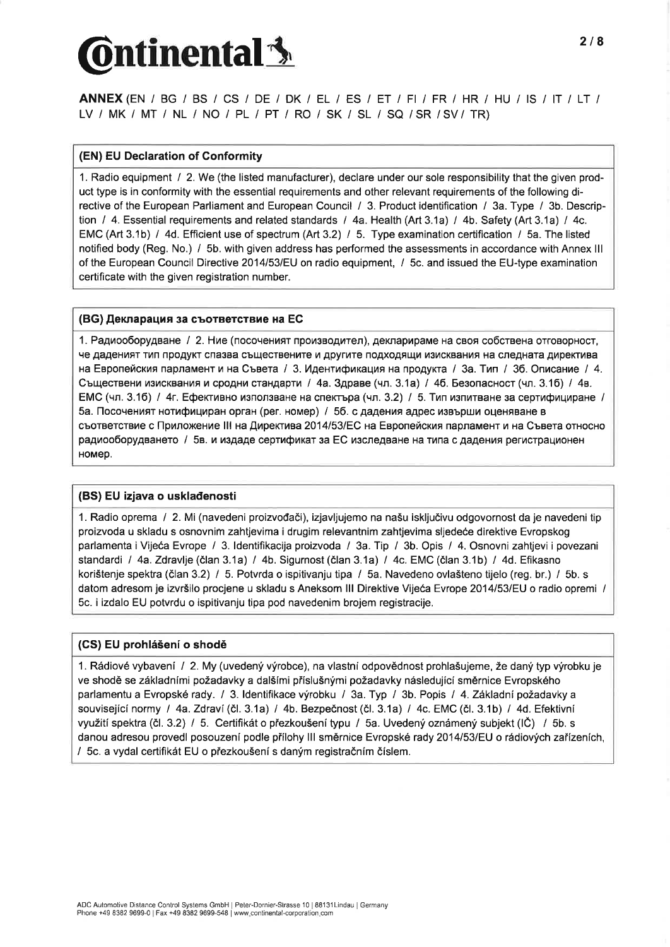# $\delta$ ntinental $\mathbf{\hat{\mathbf{\mathbf{\mathsf{3}}}}}$

ANNEX (EN / BG / BS / CS / DE / DK / EL / ES / ET / FI / FR / HR / HU / IS / IT / LT / LV / MK I MT I NL / NO I pL I pT / RO / SK / SL / SQ /SR /SV/ TR)

#### (EN) EU Declaration of Conformity

1. Radio equipment / 2. We (the listed manufacturer), declare under our sole responsibility that the given product type is in conformity with the essential requirements and other relevant requirements of the following directive of the European Parliament and European Council / 3. Product identification / 3a. Type / 3b. Description / 4. Essential requirements and related standards / 4a. Health (Art 3.1a) / 4b. Safety (Art 3.1a) / 4c. EMC (Art 3.1b) / 4d. Efficient use of spectrum (Art 3.2) / 5. Type examination certification / 5a. The listed notified body (Reg. No.) / 5b. with given address has performed the assessments in accordance with Annex lll of the European Council Directive 2014/53/EU on radio equipment, / 5c. and issued the EU-type examination certificate with the given registration number.

#### (BG) Декларация за съответствие на ЕС

1. Радиооборудване / 2. Ние (посоченият производител), декларираме на своя собствена отговорност, че даденият тип продукт спазва съществените и другите подходящи изисквания на следната директива на Европейския парламент и на Съвета / 3. Идентификация на продукта / 3а. Тип / 3б. Описание / 4. Съществени изисквания и сродни стандарти / 4a. Здраве (чл. 3.1a) / 4б. Безопасност (чл. 3.1б) / 4в. ЕМС (чл. 3.16) / 4г. Ефективно използване на спектъра (чл. 3.2) / 5. Тип изпитване за сертифициране / 5а. Посоченият нотифициран орган (рег. номер) / 5б. с дадения адрес извърши оценяване в cborBercrBue c flpnnoxenøe lll na fiøperrnea2014l53lEC Ha Eeponeücrur napnaMeHr L'r Ha Creera orHocHo радиооборудването / 5в. и издаде сертификат за ЕС изследване на типа с дадения регистрационен HOMep.

#### (BS) EU izjava o uskladenosti

<sup>1</sup>. Radio oprema I 2. Mi (navedeni proizvodaði), izjavljujemo na na5u iskljuöivu odgovornost da je navedeni tip proizvoda u skladu s osnovnirn zahtjevima i drugim relevantnim zahtjevima sljedeóe direktive Evropskog parlamenta iVijeéa Evrope I 3. ldentifikacija proizvoda / 3a. Tip / 3b. Opis / 4. Osnovni zahtjevi i povezani standardi / 4a. Zdravlje (član 3.1a) / 4b. Sigurnost (član 3.1a) / 4c. EMC (član 3.1b) / 4d. Efikasno korištenje spektra (član 3.2) / 5. Potvrda o ispitivanju tipa / 5a. Navedeno ovlašteno tijelo (reg. br.) / 5b. s datom adresom je izvršilo procjene u skladu s Aneksom III Direktive Vijeća Evrope 2014/53/EU o radio opremi / 5c. i izdalo EU potvrdu o ispitivanju tipa pod navedenim brojem registracije.

#### (CS) EU prohlá5ení o shodè

1. Rádiové vybavení / 2. My (uvedený výrobce), na vlastní odpovědnost prohlašujeme, že daný typ výrobku je ve shodě se základními požadavky a dalšími příslušnými požadavky následující směrnice Evropského parlamentu a Evropské rady. / 3. ldentifikace výrobku / 3a. Typ / 3b. Popis / 4. Základní požadavky a související normy / 4a. Zdraví (čl. 3.1a) / 4b. Bezpečnost (čl. 3.1a) / 4c. EMC (čl. 3.1b) / 4d. Efektivní využití spektra (čl. 3.2) / 5. Certifikát o přezkoušení typu / 5a. Uvedený oznámený subjekt (IČ) / 5b. s danou adresou provedl posouzení podle přílohy III směrnice Evropské rady 2014/53/EU o rádiových zařízeních, I 5c. a vydal certifikát EU o piezkou5enís dan¡im registraðním öíslem.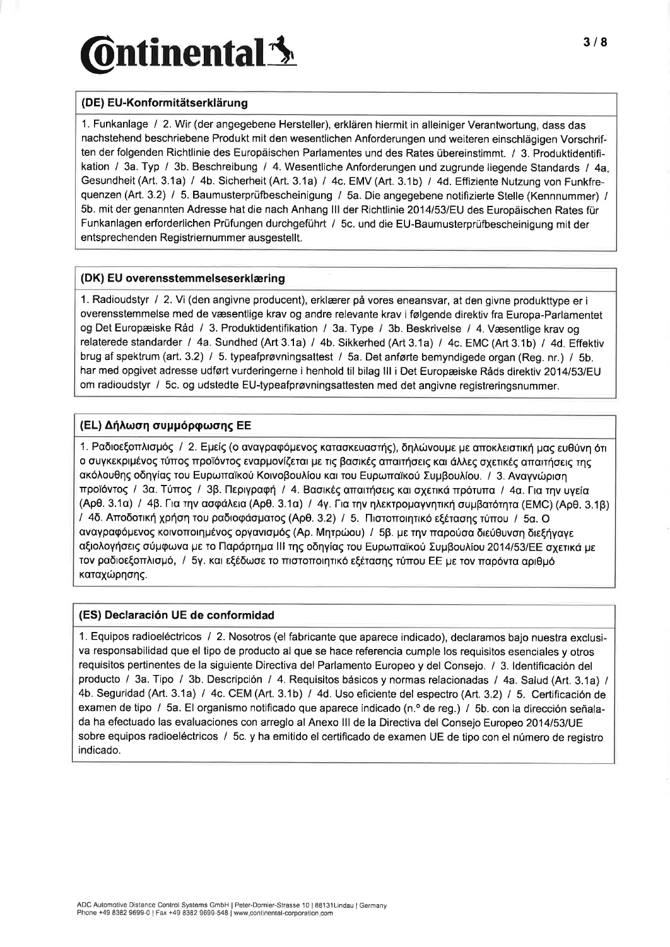# $\delta$ ntinental $\mathbf{\hat{S}}$

## (DE) EU-Konformitätserklärung

1. Funkanlage / 2. Wir (der angegebene Hersteller), erklären hiermit in alleiniger Verantwortung, dass das nachstehend beschriebene Produkt mit den wesentlichen Anforderungen und weiteren einschlägigen Vorschriften der folgenden Richtlinie des Europäischen Parlamentes und des Rates übereinstimmt. / 3. Produktidentifikation / 3a. Typ / 3b. Beschreibung / 4. Wesentliche Anforderungen und zugrunde liegende Standards / 4a Gesundheit (Art. 3.1a) / 4b. Sicherheit (Art. 3.1a) / 4c. EMV (Art. 3.1b) / 4d. Effiziente Nutzung von Funkfrequenzen (Art. 3.2) / 5. Baumusterprüfbescheinigung / 5a. Die angegebene notifizierte Stelle (Kennnummer) / 5b. mit der genannten Adresse hat die nach Anhang lll der Richtlinie20l4lS3lEU des Europäischen Rates für Funkanlagen erforderlichen Prüfungen durchgeführt / 5c. und die EU-Baumusterprüfbescheinigung mit der entsprechenden Registriernummer ausgestellt.

#### (DK) EU overensstemmelseserklæring

1. Radioudstyr / 2. Vi (den angivne producent), erklærer på vores eneansvar, at den givne produkttype er i overensstemmelse med de væsentlige krav og andre relevante krav i følgende direktiv fra Europa-Parlamentet og Det Europæiske Råd / 3. Produktidentifikation / 3a. Type / 3b. Beskrivelse / 4. Væsentlige krav og relaterede standarder / 4a. Sundhed (Art 3.1a) / 4b. Sikkerhed (Art 3.1a) / 4c. EMC (Art 3.1b) / 4d. Effektiv brug af spektrum (art. 3.2) / 5. typeafprøvningsattest / 5a. Det anførte bemyndigede organ (Reg. nr.) / 5b. har med opgivet adresse udført vurderingerne i henhold til bilag III i Det Europæiske Råds direktiv 2014/53/EU om radioudstyr / 5c. og udstedte EU-typeafprøvningsattesten med det angivne registreringsnummer.

## (EL) Δήλωση συμμόρφωσης ΕΕ

1. Ραδιοεξοπλισμός / 2. Εμείς (ο αναγραφόμενος κατασκευαστής), δηλώνουμε με αποκλειστική μας ευθύνη ότι o συγκεκριμένος τύπος προϊόντος εναρμονίζεται με τις βασικές απαιτήσεις και άλλες σχετικές απαιτήσεις της aκόλουθης οδηγίας του Ευρωπαϊκού Κοινοβουλίου και του Ευρωπαϊκού Συμβουλίου. / 3. Αναγνώριση προϊόντος / 3α. Τύπος / 3β. Περιγραφή / 4. Βασικές απαιτήσεις και σχετικά πρότυπα / 4α. Για την υγεία (Αρθ. 3.1α) / 4β. Για την ασφάλεια (Αρθ. 3.1α) / 4γ. Για την ηλεκτρομαγνητική συμβατότητα (EMC) (Αρθ. 3.1β) / 4δ. Αποδοτική χρήση του ραδιοφάσματος (Apθ. 3.2) / 5. Πιστοποιητικό εξέτασης τύπου / 5α. Ο ovaγραφόμενος κοινοποιημένος οργανισμός (Ap. Μητρώου) / 5β. με την παρούσα διεύθυνση διεξήγαγε oξιολογήσεις σύμφωνα με το Παράρτημα ΙΙΙ της οδηγίας του Ευρωπαϊκού Συμβουλίου 2014/53/ΕΕ σχετικά με rov ραδιοεξοπλισμό, / 5γ. και εξέδωσε το πιστοποιητικό εξέτασης τύπου ΕΕ με τον παρόντα αριθμό καταχώρησης.

### (ES) Declaración UE de conformidad

1. Equipos radioeléctricos I 2. Nosotros (el fabricante que aparece indicado), declaramos bajo nuestra exclusiva responsabilidad que el tipo de producto al que se hace referencia cumple los requisitos esenciales y otros requisitos pertinentes de la siguiente Directiva del Parlamento Europeo y del Consejo. I 3.ldentificación del producto / 3a. Tipo / 3b. Descripción / 4. Requisitos básicos y normas relacionadas / 4a. Salud (Art. 3.1a) / 4b. Seguridad (Art. 3.1a) / 4c. CEM (Art. 3.1b) / 4d. Uso eficiente del espectro (Art. 3.2) / 5. Certificación de examen de tipo / 5a. El organismo notificado que aparece indicado (n.º de reg.) / 5b. con la dirección señalada ha efectuado las evaluaciones con arreglo al Anexo III de la Directiva del Consejo Europeo 2014/53/UE sobre equipos radioeléctricos / 5c. y ha emitido el certificado de examen UE de tipo con el número de registro indicado.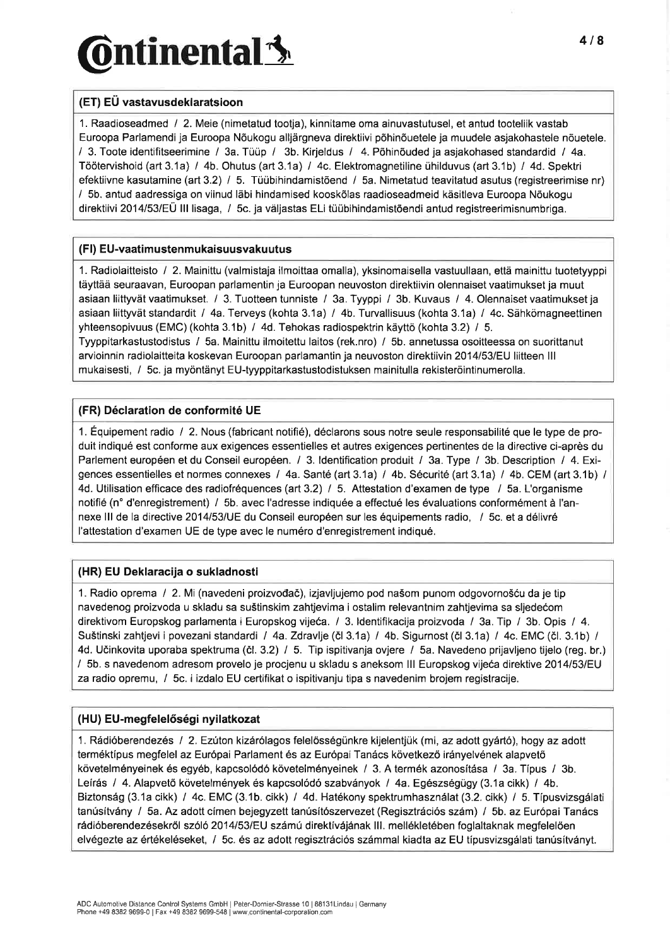### (ET) EU vastavusdeklaratsioon

1. Raadioseadmed / 2. Meie (nimetatud tootja), kinnitame oma ainuvastutusel, et antud tooteliik vastab Euroopa Parlamendi ja Euroopa Nöukogu alljärgneva direktiivi põhinõuetele ja muudele asjakohastele nõuetele. / 3. Toote identifitseerimine / 3a. Tüüp / 3b. Kirjeldus / 4. Põhinöuded ja asjakohased standardid / 4a. Töötervishoid (art 3.1a) / 4b. Ohutus (art 3.1a) / 4c. Elektromagnetiline ühilduvus (art 3.1b) / 4d. Spektri efektiivne kasutamine (art 3.2) / 5. Tüübihindamistöend / 5a. Nimetatud teavitatud asutus (registreerimise nr) / 5b. antud aadressiga on viinud läbi hindamised kooskõlas raadioseadmeid käsitleva Euroopa Nõukogu direktiivi 2014/53/EÜ III lisaga, / 5c. ja väljastas ELi tüübihindamistõendi antud registreerimisnumbriga.

#### (Fl) EU-vaatimustenmukaisuusvaku utus

1. Radiolaitteisto / 2. Mainittu (valmistaja ilmoittaa omalla), yksinomaisella vastuullaan, että mainittu tuotetyyppi täyttää seuraavan, Euroopan parlamentin ja Euroopan neuvoston direktiivin olennaiset vaatimukset ja muut asiaan liittyvät vaatimukset. / 3. Tuotteen tunniste / 3a. Tyyppi / 3b. Kuvaus / 4. Olennaiset vaatimukset ja asiaan liittyvät standardit / 4a. Terveys (kohta 3.1a) / 4b. Turvallisuus (kohta 3.1a) / 4c. Sähkömagneettinen yhteensopivuus (EMC)(kohta 3.1b) / 4d. Tehokas radiospektrin käyttö (kohta 3.2) I 5. Tyyppitarkastustodistus / 5a. Mainittu ilmoitettu laitos (rek.nro) / 5b. annetussa osoitteessa on suorittanut arvioinnin radiolaitteita koskevan Euroopan parlamantin ja neuvoston direktiivin 2O14l53lEU liitteen lll mukaisesti, I 5c. ja myöntänyt EU-tyyppitarkastustodistuksen mainitulla rekisteröintinumerolla.

#### (FR) Déclaration de conformité UE

1. Équipement radio / 2. Nous (fabricant notifié), déclarons sous notre seule responsabilité que le type de produit indiqué est conforme aux exigences essentielles et autres exigences pertinentes de la directive ci-après du Parlement européen et du Conseil européen. / 3. ldentification produit / 3a. Type / 3b. Description / 4. Exigences essentielles et normes connexes / 4a. Santé (art 3.1a) / 4b. Sécurité (art 3.1a) / 4b. CEM (art 3.1b) / 4d. Utilisation efficace des radiofréquences (art 3.2) / 5. Attestation d'examen de type / 5a. L'organisme notifié (n" d'enregistrement) / 5b. avec I'adresse indiquée a effectué les évaluations conformément à I'annexe III de la directive 2014/53/UE du Conseil européen sur les équipements radio, / 5c. et a délivré l'attestation d'examen UE de type avec le numéro d'enregistrement indiqué.

### (HR) EU Deklaracija o sukladnosti

1. Radio oprema I 2. Mi (navedeni proizvodað), izjavljujemo pod naöom punom odgovorno5óu da je tip navedenog proizvoda u skladu sa suðtinskim zahtjevima i ostalim relevantnim zahtjevima sa sljedeóom direktivom Europskog parlamenta i Europskog vijeéa. / 3. ldentifikacija proizvoda I 3a. Tip / 3b. Opis / 4. Suštinski zahtjevi i povezani standardi / 4a. Zdravlje (čl 3.1a) / 4b. Sigurnost (čl 3.1a) / 4c. EMC (čl. 3.1b) / 4d. Uöinkovita uporaba spektruma (ð1. 3.2) / 5. Tip ispitivanja ovjere / 5a. Navedeno prijavljeno tijelo (reg. br.) / 5b. s navedenom adresom provelo je procjenu u skladu s aneksom lll Europskog vijeóa direktive 201415318U za radio opremu, / 5c. i izdalo EU certifikat o ispitivanju tipa s navedenim brojem registracije.

### (HU) EU-megfelelőségi nyilatkozat

<sup>1</sup>. Rádióberendezés I 2. Ez'ilon kizárólagos felelösségünkre kijelentjük (mi, az adott gyártó), hogy az adott terméktípus megfelel az Európai Parlament és az Európai Tanács következó irányelvének alapvetó követelményeinek és egyéb, kapcsolódó követelményeinek / 3. A termék azonosítása / 3a. Típus / 3b. Leírás / 4. Alapvető követelmények és kapcsolódó szabványok / 4a. Egészségügy (3.1a cikk) / 4b. Biztonság (3.1a cikk) / 4c. EMC (3.1b. cikk) / 4d. Hatékony spektrumhasználat (3.2. cikk) / 5. Típusvizsgálati tanúsítvány / 5a. Az adott címen bejegyzett tanúsítószervezet (Regisztrációs szám) / 5b. az Európai Tanács rádióberendezésekról szóló2014153lEU számú direktívájának lll. mellékletében foglaltaknak megfelelóen elvégezte az értékeléseket, / 5c. és az adott regisztrációs számmal kiadta az EU típusvizsgálati tanúsítványt.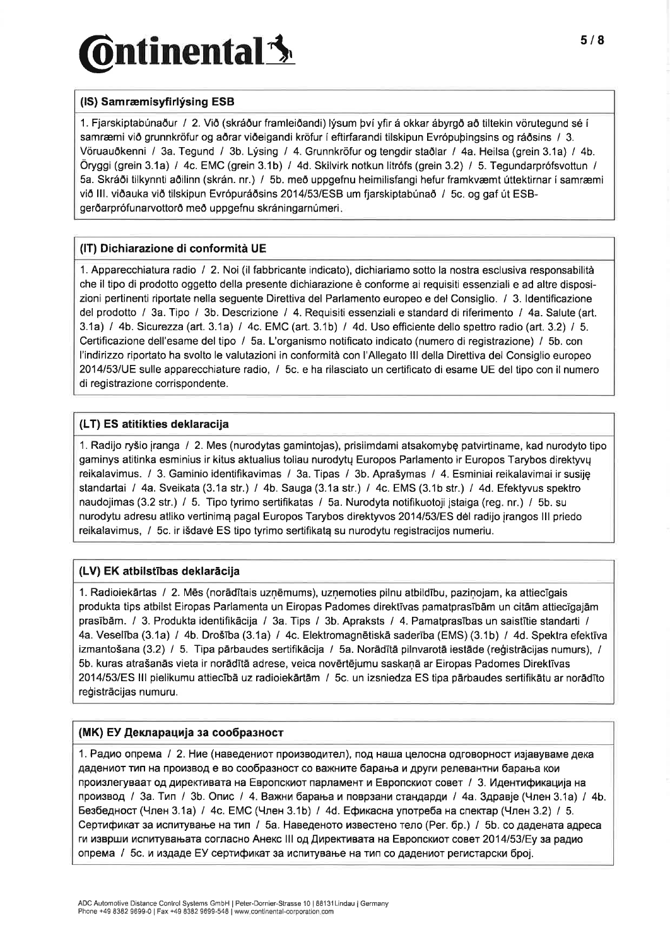# $\delta$ ntinental $\mathbf{\hat{\mathbf{\mathsf{3}}}}$

### (IS) Samræmisyfirlýsing ESB

1. Fjarskiptabúnaður / 2. Við (skráður framleiðandi) lýsum því yfir á okkar ábyrgð að tiltekin vörutegund sé í samræmi við grunnkröfur og aðrar viðeigandi kröfur í eftirfarandi tilskipun Evrópuþingsins og ráðsins / 3. Vöruauðkenni / 3a. Tegund / 3b. Lýsing / 4. Grunnkröfur og tengdir staðlar / 4a. Heilsa (grein 3.1a) / 4b. Öryggi (grein 3.1a) / 4c. EMC (grein 3.1b) / 4d. Skilvirk notkun litrófs (grein 3.2) / 5. Tegundarprófsvottun / 5a. Skráöi tilkynnti aðilinn (skrán. nr.) / 5b. með uppgefnu heimilisfangi hefur framkvæmt úttektirnar í samræmi viö lll. viðauka viö tilskipun Evrópuráðsins 2014|53/ESB um fjarskiptabúnað / 5c. og gaf út ESBgerðarprófunarvottorð með uppgefnu skráningarnúmeri.

#### (IT) Dichiarazione di conformità UE

1. Apparecchiatura radio / 2. Noi (ilfabbricante indicato), dichiariamo sotto la nostra esclusiva responsabilità che il tipo di prodotto oggetto della presente dichiarazione è conforme ai requisiti essenziali e ad altre disposizioni pertinenti riportate nella seguente Direttiva del Parlamento europeo e del Consiglio. / 3. ldentificazione del prodotto / 3a. Tipo / 3b. Descrizione / 4. Requisiti essenziali e standard di riferimento / 4a. Salute (art. 3.1a) / 4b. Sicurezza (art. 3.1a) / 4c. EMC (art. 3.1b) / 4d. Uso efficiente dello spettro radio (art. 3.2) / 5. Certificazione dell'esame deltipo / 5a. L'organismo notificato indicato (numero di registrazione) / 5b. con l'indirizzo riportato ha svolto le valutazioni in conformità con l'Allegato lll della Direttiva del Consiglio europeo 2014/53/UE sulle apparecchiature radio, / 5c. e ha rilasciato un certificato di esame UE del tipo con il numero di registrazione corrispondente.

### (LT) ES atitikties deklaracija

1. Radijo ry5io jranga / 2. Mes (nurodytas gamintojas), prisiimdami atsakomybç patvirtiname, kad nurodyto tipo gaminys atitinka esminius ir kitus aktualius toliau nurodytų Europos Parlamento ir Europos Tarybos direktyvų reikalavimus. / 3. Gaminio identifikavimas / 3a. Tipas / 3b. Apraðymas / 4. Esminiai reikalavimai ir susijç standartai /4a.Sveikata(3.1astr.) /4b.Sauga(3.1astr.)/4c.EMS(3.1bstr.) /4d.Efektyvusspektro naudojimas (3.2 str.) / 5. Tipo tyrimo sertifikatas / 5a. Nurodyta notifikuotoji istaiga (reg. nr.) / 5b. su nurodytu adresu atliko vertinimq pagal Europos Tarybos direktyvos 20141531F5 dêl radijo irangos lll priedo reikalavimus, / 5c. ir išdavė ES tipo tyrimo sertifikatą su nurodytu registracijos numeriu.

### (LV) EK atbilstïbas deklaräcija

1. Radioiekārtas / 2. Mēs (norādītais uznēmums), uznemoties pilnu atbildību, pazinojam, ka attiecīgais produkta tips atbilst Eiropas Parlamenta un Eiropas Padomes direktīvas pamatprasībām un citām attiecīgajām prasībām. / 3. Produkta identifikācija / 3a. Tips / 3b. Apraksts / 4. Pamatprasības un saistītie standarti / 4a. Veselība (3.1a) / 4b. Drošība (3.1a) / 4c. Elektromagnētiskā saderība (EMS) (3.1b) / 4d. Spektra efektīva izmantošana (3.2) / 5. Tipa pārbaudes sertifikācija / 5a. Norādītā pilnvarotā iestāde (reģistrācijas numurs), / 5b. kuras atrašanās vieta ir norādītā adrese, veica novērtējumu saskanā ar Eiropas Padomes Direktīvas 20141531E5lll pielikumu attiecÎbä uz radioiekärtäm / 5c. un izsniedza ES tipa pärbaudes sertifikätu ar norädïto reģistrācijas numuru.

#### (МК) ЕУ Декларација за сообразност

1. Радио опрема / 2. Ние (наведениот производител), под наша целосна одговорност изјавуваме дека дадениот тип на производ е во сообразност со важните барања и други релевантни барања кои произлегуваат од директивата на Европскиот парламент и Европскиот совет / 3. Идентификација на производ / За. Тип / Зb. Опис / 4. Важни барања и поврзани стандарди / 4а. Здравје (Член 3.1а) / 4b. Безбедност (Член 3.1а) / 4с. ЕМС (Член 3.1b) / 4d. Ефикасна употреба на спектар (Член 3.2) / 5. Сертификат за испитување на тип / 5а. Наведеното известено тело (Рег. бр.) / 5b. со дадената адреса ги изврши испитувањата согласно Анекс III од Директивата на Европскиот совет 2014/53/Ey за радио опрема / 5с. и издаде ЕУ сертификат за испитување на тип со дадениот регистарски број.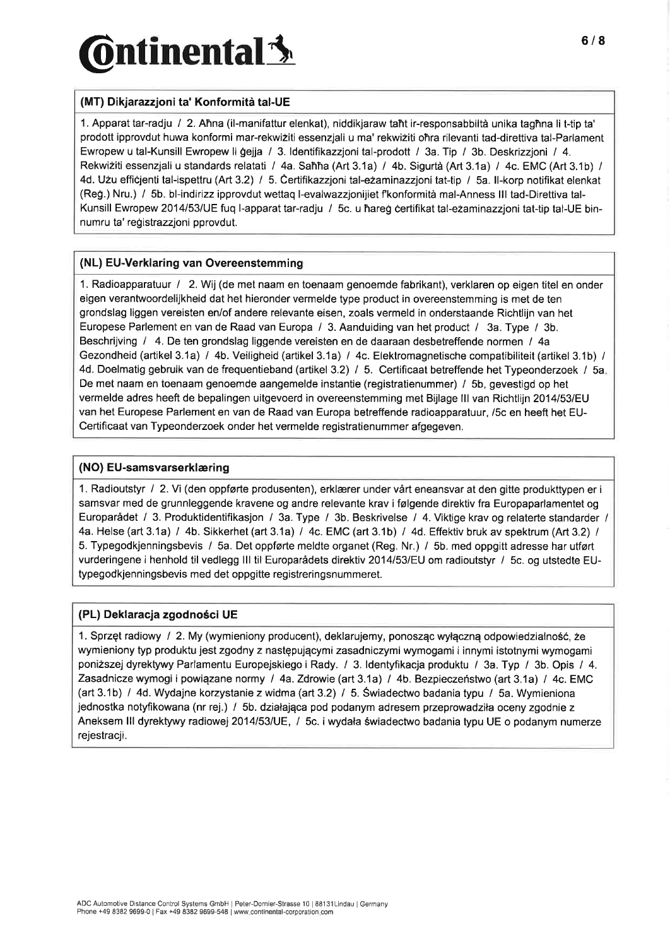# $\delta$ ntinental $\mathbf{\hat{\mathbf{\Sigma}}}$

### (MT) Dikjarazzjoni ta' Konformità tal-UE

1. Apparat tar-radju I 2. Ahna (il-manifattur elenkat), niddikjaraw taht ir-responsabbiltà unika taghna li t-tip ta' prodott ipprovdut huwa konformi mar-rekwiziti essenzjali u ma' rekwiziti ohra rilevanti tad-direttiva tal-Parlament Ewropew u tal-Kunsill Ewropew li gejja / 3. ldentifikazzjoni tal-prodott / 3a. Tip / 3b. Deskrizzjoni / 4. Rekwiziti essenzjali u standards relatati / 4a. Sañña (Art 3.1a) / 4b. Sigurtà (Art 3.1a) / 4c. EMC (Art 3.1b) / 4d. Uzu efficjenti tal-ispettru (Art 3.2) / 5. Čertifikazzjoni tal-ezaminazzjoni tat-tip / 5a. Il-korp notifikat elenkat (Reg.) Nru.) / 5b. bl-indirizz ipprovdut wettaq l-evalwazzjonijiet fkonformità mal-Anness III tad-Direttiva tal-Kunsill Ewropew 2O14l53lUE fuq l-apparat tar-radju / 5c. u hareg certifikat tal-e2aminazzjoni tat-tip tal-UE binnumru ta' registrazzjoni pprovdut.

#### (NL) EU-Verklaring van Overeenstemming

1. Radioapparatuur / 2. Wij (de met naam en toenaam genoemde fabrikant), verklaren op eigen titel en onder eigen verantwoordelijkheid dat het hieronder vermelde type product in overeenstemming is met de ten grondslag liggen vereisten en/of andere relevante eisen, zoals vermeld in onderstaande Richtlijn van het Europese Parlement en van de Raad van Europa / 3. Aanduiding van het product / 3a. Type / 3b. Beschrijving / 4. De ten grondslag liggende vereisten en de daaraan desbetreffende normen / 4a Gezondheid (artikel 3.1a) / 4b. Veiligheid (artikel 3.1a) / 4c. Elektromagnetische compatibiliteit (artikel 3.1b) / 4d. Doelmatig gebruik van de frequentieband (artikel 3.2) / 5. Certificaat betreffende het Typeonderzoek / 5a. De met naam en toenaam genoemde aangemelde instantie (registratienummer) / 5b, gevestigd op het vermelde adres heeft de bepalingen uitgevoerd in overeenstemming met Bijlage III van Richtlijn 2014/53/EU van het Europese Parlement en van de Raad van Europa betreffende radioapparatuur, /5c en heeft het EU-Certificaat van Typeonderzoek onder het vermelde registratienummer afgegeven.

#### (NO) EU-samsvarserklæring

<sup>1</sup>. Radioutstyr I 2. Yi (den oppførte produsenten), erklærer under vårt eneansvar at den gitte produkttypen er <sup>i</sup> samsvar med de grunnleggende kravene og andre relevante krav i følgende direktiv fra Europaparlamentet og Europarådet / 3. Produktidentifikasjon / 3a. Type / 3b. Beskrivelse / 4. Viktige krav og relaterte standarder / 4a. Helse (art 3.1a) / 4b. Sikkerhet (art 3.1a) / 4c. EMC (art 3.1b) / 4d. Effektiv bruk av spektrum (Art 3.2) / 5. Typegodkjenningsbevis / 5a. Det oppførte meldte organet (Reg. Nr.) / 5b. med oppgitt adresse har utført vurderingene i henhold til vedlegg III til Europarådets direktiv 2014/53/EU om radioutstyr / 5c. og utstedte EUtypegodkjenningsbevis med det oppgitte registreringsnummeret.

### (PL) Deklaracja zgodno5ci UE

1. Sprzęt radiowy / 2. My (wymieniony producent), deklarujemy, ponosząc wyłączną odpowiedzialność, że wymieniony typ produktu jest zgodny z nastçpujqcymi zasadniczymi wymogami i innymi istotnymi wymogami poni2szejdyrektywy Parlamentu Europejskiego i Rady. / 3. ldentyfikacja produktu / 3a. Typ / 3b. Opis / 4. Zasadnicze wymogi i powiązane normy / 4a. Zdrowie (art 3.1a) / 4b. Bezpieczeństwo (art 3.1a) / 4c. EMC (art 3.1b) I 4d. Wydajne korzystanie z widma (art 3.2) / 5. Swiadectwo badania typu / 5a. Wymieniona jednostka notyfikowana (nr rej.) / 5b. działająca pod podanym adresem przeprowadziła oceny zgodnie z Aneksem lll dyrektywy radiowej 20141531UE, / 5c. iwydata éwiadectwo badania typu UE o podanym numerze rejestracji.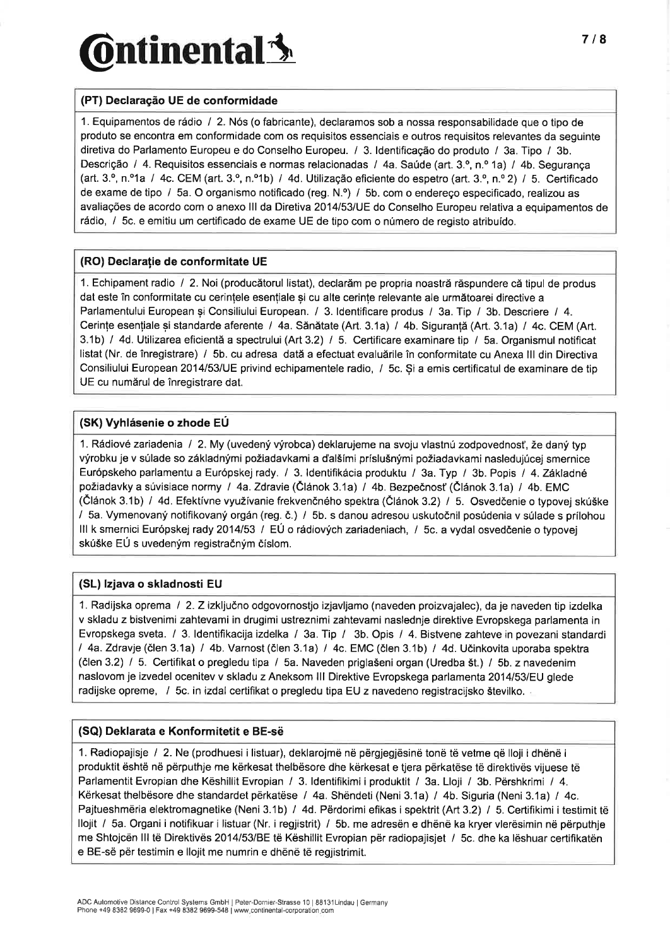## **Ontinental** state of the state of the state of the state of the state of the state of the state of the state of the state of the state of the state of the state of the state of the state of the state of the state of the s

#### (PT) Declaração UE de conformidade

1. Equipamentos de rádio / 2. Nós (o fabricante), declaramos sob a nossa responsabilidade que o tipo de produto se encontra em conformidade com os requisitos essenciais e outros requisitos relevantes da seguinte diretiva do Parlamento Europeu e do Conselho Europeu. / 3. ldentificação do produto / 3a. Tipo / 3b. Descrição / 4. Requisitos essenciais e normas relacionadas / 4a. Saúde (art. 3.º, n.º 1a) / 4b. Segurança (art. 3.<sup>o</sup>, n.<sup>o</sup>1a / 4c. CEM (art. 3.<sup>o</sup>, n.<sup>o</sup>1b) / 4d. Utilização eficiente do espetro (art. 3.<sup>o</sup>, n.<sup>o</sup> 2) / 5. Certificado de exame de tipo / 5a. O organismo notificado (reg. N.º) / 5b. com o endereço especificado, realizou as avaliações de acordo com o anexo lll da Diretiva 2O14l53lUE do Conselho Europeu relativa a equipamentos de rádio, I 5c. e emitiu um certificado de exame UE de tipo com o número de registo atribuído.

#### (RO) Declarație de conformitate UE

1. Echipament radio / 2. Noi (producätorul listat), declaräm pe propria noasträ räspundere cä tipul de produs dat este în conformitate cu cerințele esențiale și cu alte cerințe relevante ale următoarei directive a Parlamentului European și Consiliului European. / 3. Identificare produs / 3a. Tip / 3b. Descriere / 4. Cerințe esențiale și standarde aferente / 4a. Sănătate (Art. 3.1a) / 4b. Siguranță (Art. 3.1a) / 4c. CEM (Art. 3.1b) / 4d. Utilizarea eficientă a spectrului (Art 3.2) / 5. Certificare examinare tip / 5a. Organismul notificat listat (Nr. de înregistrare) / 5b. cu adresa datä a efectuat evaluärile în conformitate cu Anexa lll din Directiva Consiliului European 2014/53/UE privind echipamentele radio, / 5c. Și a emis certificatul de examinare de tip UE cu numärul de înregistrare dat.

#### (SK) Vyhlásenie o zhode EU

1. Rádiové zariadenia / 2. My (uvedený výrobca) deklarujeme na svoju vlastnú zodpovednosť, že daný typ výrobku je v súlade so základnými požiadavkami a ďalšími príslušnými požiadavkami nasledujúcej smernice Európskeho parlamentu a Európskej rady. / 3. ldentifikácia produktu / 3a. Typ / 3b. Popis / 4. Základné požiadavky a súvisiace normy / 4a. Zdravie (Článok 3.1a) / 4b. Bezpečnosť (Článok 3.1a) / 4b. EMC (Článok 3.1b) / 4d. Efektívne využívanie frekvenčného spektra (Článok 3.2) / 5. Osvedčenie o typovej skúške / 5a. Vymenovaný notifikovaný orgán (reg. č.) / 5b. s danou adresou uskutočnil posúdenia v súlade s prílohou III k smernici Európskej rady 2014/53 / EÚ o rádiových zariadeniach, / 5c. a vydal osvedčenie o typovej skúške EÚ s uvedeným registračným číslom.

### (SL) lzjava o skladnosti EU

1. Radijska oprema I 2. Zizkljuéno odgovornostjo izjavljamo (naveden proizvajalec), da je naveden tip izdelka v skladu z bistvenimi zahtevami in drugimi ustreznimi zahtevami naslednje direktive Evropskega parlamenta in Evropskega sveta. / 3. ldentifikacija izdelka / 3a. Tip / 3b. Opis / 4. Bistvene zahteve in povezani standardi l4a.Zdravje(ðlen3.1a) /4b.Varnost(ölen3.1a)/4c.EMC(ölen3.1b)/4d.Uðinkovitauporabaspektra (ðlen 3.2) / 5. Certifikat o pregledu tipa / 5a. Naveden prigla5eni organ (Uredba 5t.) / 5b. z navedenim naslovom je izvedel ocenitev v skladu z Aneksom III Direktive Evropskega parlamenta 2014/53/EU glede radijske opreme, / 5c. in izdal certifikat o pregledu tipa EU z navedeno registracijsko številko. .

#### (SQ) Deklarata e Konformitetit e BE-së

1. Radiopajisje / 2. Ne (prodhuesi i listuar), deklarojmë në përgjegjësinë tonë të vetme që lloji i dhënë <sup>i</sup> produktit është në përputhje me kërkesat thelbësore dhe kërkesat e tjera përkatëse të direktivës vijuese tè Parlamentit Evropian dhe Këshillit Evropian / 3. ldentifikimi i produktit / 3a. Lloji / 3b. Përshkrimi / 4. Kërkesat thelbësore dhe standardet përkatëse / 4a. Shëndeti (Neni 3.1a) / 4b. Siguria (Neni 3.1a) / 4c. Pajtueshmëria elektromagnetike (Neni 3.1b) / 4d. Përdorimi efikas i spektrit (Art 3.2) / 5. Certifikimi i testimit të llojit / 5a. Organi i notifikuar i listuar (Nr. i regjistrit) / 5b. me adresën e dhënë ka kryer vlerësimin në përputhje me Shtojcën lll të Direktivës 20141531BE të Këshillit Evropian për radiopajisjet / 5c. dhe ka lëshuar certifikatën e BE-së për testimin e llojit me numrin e dhènë të regjishimit.